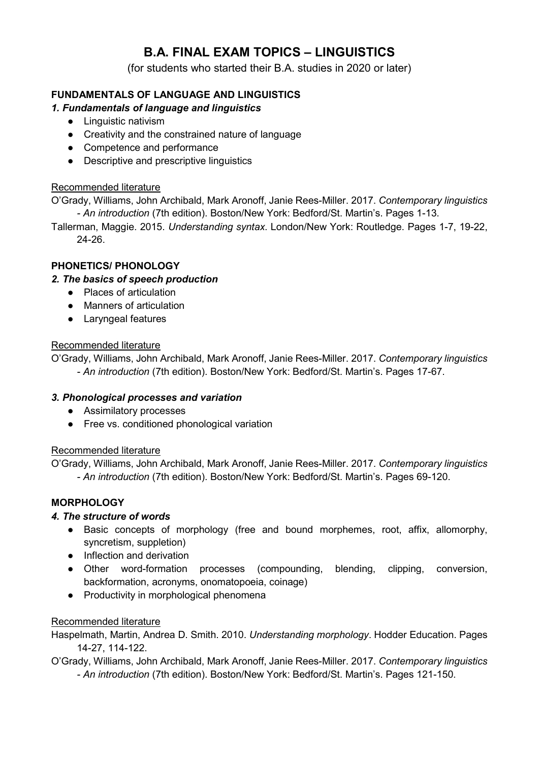# B.A. FINAL EXAM TOPICS – LINGUISTICS

(for students who started their B.A. studies in 2020 or later)

# FUNDAMENTALS OF LANGUAGE AND LINGUISTICS

# 1. Fundamentals of language and linguistics

- Linguistic nativism
- Creativity and the constrained nature of language
- Competence and performance
- Descriptive and prescriptive linguistics

#### Recommended literature

O'Grady, Williams, John Archibald, Mark Aronoff, Janie Rees-Miller. 2017. Contemporary linguistics - An introduction (7th edition). Boston/New York: Bedford/St. Martin's. Pages 1-13.

Tallerman, Maggie. 2015. Understanding syntax. London/New York: Routledge. Pages 1-7, 19-22, 24-26.

# PHONETICS/ PHONOLOGY

# 2. The basics of speech production

- Places of articulation
- Manners of articulation
- Laryngeal features

#### Recommended literature

O'Grady, Williams, John Archibald, Mark Aronoff, Janie Rees-Miller. 2017. Contemporary linguistics - An introduction (7th edition). Boston/New York: Bedford/St. Martin's. Pages 17-67.

# 3. Phonological processes and variation

- Assimilatory processes
- Free vs. conditioned phonological variation

#### Recommended literature

O'Grady, Williams, John Archibald, Mark Aronoff, Janie Rees-Miller. 2017. Contemporary linguistics - An introduction (7th edition). Boston/New York: Bedford/St. Martin's. Pages 69-120.

# MORPHOLOGY

# 4. The structure of words

- Basic concepts of morphology (free and bound morphemes, root, affix, allomorphy, syncretism, suppletion)
- Inflection and derivation
- Other word-formation processes (compounding, blending, clipping, conversion, backformation, acronyms, onomatopoeia, coinage)
- Productivity in morphological phenomena

# Recommended literature

Haspelmath, Martin, Andrea D. Smith. 2010. Understanding morphology. Hodder Education. Pages 14-27, 114-122.

O'Grady, Williams, John Archibald, Mark Aronoff, Janie Rees-Miller. 2017. Contemporary linguistics - An introduction (7th edition). Boston/New York: Bedford/St. Martin's. Pages 121-150.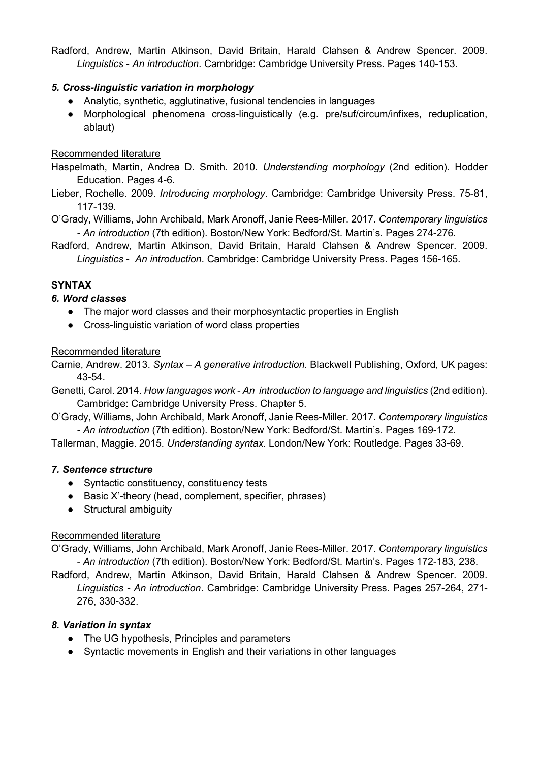Radford, Andrew, Martin Atkinson, David Britain, Harald Clahsen & Andrew Spencer. 2009. Linguistics - An introduction. Cambridge: Cambridge University Press. Pages 140-153.

# 5. Cross-linguistic variation in morphology

- Analytic, synthetic, agglutinative, fusional tendencies in languages
- Morphological phenomena cross-linguistically (e.g. pre/suf/circum/infixes, reduplication, ablaut)

# Recommended literature

- Haspelmath, Martin, Andrea D. Smith. 2010. Understanding morphology (2nd edition). Hodder Education. Pages 4-6.
- Lieber, Rochelle. 2009. Introducing morphology. Cambridge: Cambridge University Press. 75-81, 117-139.
- O'Grady, Williams, John Archibald, Mark Aronoff, Janie Rees-Miller. 2017. Contemporary linguistics - An introduction (7th edition). Boston/New York: Bedford/St. Martin's. Pages 274-276.
- Radford, Andrew, Martin Atkinson, David Britain, Harald Clahsen & Andrew Spencer. 2009. Linguistics - An introduction. Cambridge: Cambridge University Press. Pages 156-165.

# **SYNTAX**

# 6. Word classes

- The major word classes and their morphosyntactic properties in English
- Cross-linguistic variation of word class properties

#### Recommended literature

Carnie, Andrew. 2013. Syntax – A generative introduction. Blackwell Publishing, Oxford, UK pages: 43-54.

- Genetti, Carol. 2014. How languages work An introduction to language and linguistics (2nd edition). Cambridge: Cambridge University Press. Chapter 5.
- O'Grady, Williams, John Archibald, Mark Aronoff, Janie Rees-Miller. 2017. Contemporary linguistics - An introduction (7th edition). Boston/New York: Bedford/St. Martin's. Pages 169-172.

Tallerman, Maggie. 2015. Understanding syntax. London/New York: Routledge. Pages 33-69.

# 7. Sentence structure

- Syntactic constituency, constituency tests
- Basic X'-theory (head, complement, specifier, phrases)
- Structural ambiguity

# Recommended literature

O'Grady, Williams, John Archibald, Mark Aronoff, Janie Rees-Miller. 2017. Contemporary linguistics - An introduction (7th edition). Boston/New York: Bedford/St. Martin's. Pages 172-183, 238.

Radford, Andrew, Martin Atkinson, David Britain, Harald Clahsen & Andrew Spencer. 2009. Linguistics - An introduction. Cambridge: Cambridge University Press. Pages 257-264, 271- 276, 330-332.

# 8. Variation in syntax

- The UG hypothesis, Principles and parameters
- Syntactic movements in English and their variations in other languages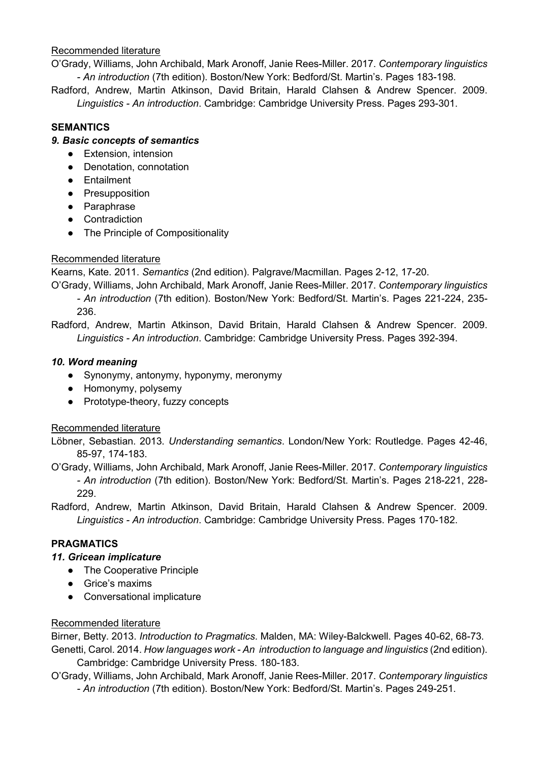#### Recommended literature

O'Grady, Williams, John Archibald, Mark Aronoff, Janie Rees-Miller. 2017. Contemporary linguistics - An introduction (7th edition). Boston/New York: Bedford/St. Martin's. Pages 183-198.

Radford, Andrew, Martin Atkinson, David Britain, Harald Clahsen & Andrew Spencer. 2009. Linguistics - An introduction. Cambridge: Cambridge University Press. Pages 293-301.

# **SEMANTICS**

# 9. Basic concepts of semantics

- Extension, intension
- Denotation, connotation
- Entailment
- Presupposition
- Paraphrase
- Contradiction
- The Principle of Compositionality

# Recommended literature

Kearns, Kate. 2011. Semantics (2nd edition). Palgrave/Macmillan. Pages 2-12, 17-20.

O'Grady, Williams, John Archibald, Mark Aronoff, Janie Rees-Miller. 2017. Contemporary linguistics - An introduction (7th edition). Boston/New York: Bedford/St. Martin's. Pages 221-224, 235- 236.

Radford, Andrew, Martin Atkinson, David Britain, Harald Clahsen & Andrew Spencer. 2009. Linguistics - An introduction. Cambridge: Cambridge University Press. Pages 392-394.

# 10. Word meaning

- Synonymy, antonymy, hyponymy, meronymy
- Homonymy, polysemy
- Prototype-theory, fuzzy concepts

# Recommended literature

Löbner, Sebastian. 2013. Understanding semantics. London/New York: Routledge. Pages 42-46, 85-97, 174-183.

O'Grady, Williams, John Archibald, Mark Aronoff, Janie Rees-Miller. 2017. Contemporary linguistics - An introduction (7th edition). Boston/New York: Bedford/St. Martin's. Pages 218-221, 228- 229.

Radford, Andrew, Martin Atkinson, David Britain, Harald Clahsen & Andrew Spencer. 2009. Linguistics - An introduction. Cambridge: Cambridge University Press. Pages 170-182.

# PRAGMATICS

# 11. Gricean implicature

- The Cooperative Principle
- Grice's maxims
- Conversational implicature

# Recommended literature

Birner, Betty. 2013. Introduction to Pragmatics. Malden, MA: Wiley-Balckwell. Pages 40-62, 68-73. Genetti, Carol. 2014. How languages work - An introduction to language and linguistics (2nd edition).

Cambridge: Cambridge University Press. 180-183. O'Grady, Williams, John Archibald, Mark Aronoff, Janie Rees-Miller. 2017. Contemporary linguistics

- An introduction (7th edition). Boston/New York: Bedford/St. Martin's. Pages 249-251.